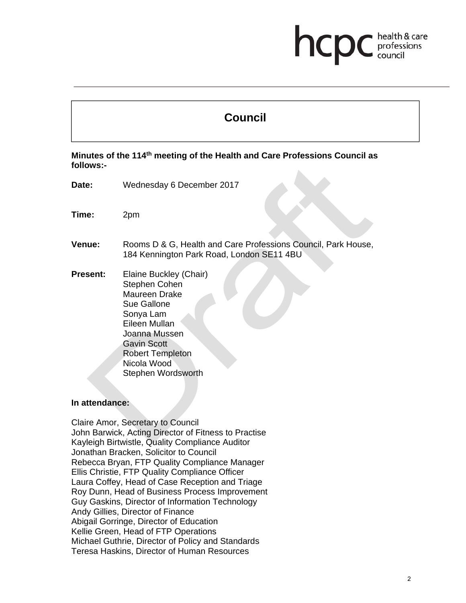## health & care hcp professions<br>council

# **Council**

**Minutes of the 114th meeting of the Health and Care Professions Council as follows:-** 

- **Date:** Wednesday 6 December 2017
- **Time:** 2pm
- **Venue:** Rooms D & G, Health and Care Professions Council, Park House, 184 Kennington Park Road, London SE11 4BU
- **Present:** Elaine Buckley (Chair) Stephen Cohen Maureen Drake Sue Gallone Sonya Lam Eileen Mullan Joanna Mussen Gavin Scott Robert Templeton Nicola Wood Stephen Wordsworth

#### **In attendance:**

Claire Amor, Secretary to Council John Barwick, Acting Director of Fitness to Practise Kayleigh Birtwistle, Quality Compliance Auditor Jonathan Bracken, Solicitor to Council Rebecca Bryan, FTP Quality Compliance Manager Ellis Christie, FTP Quality Compliance Officer Laura Coffey, Head of Case Reception and Triage Roy Dunn, Head of Business Process Improvement Guy Gaskins, Director of Information Technology Andy Gillies, Director of Finance Abigail Gorringe, Director of Education Kellie Green, Head of FTP Operations Michael Guthrie, Director of Policy and Standards Teresa Haskins, Director of Human Resources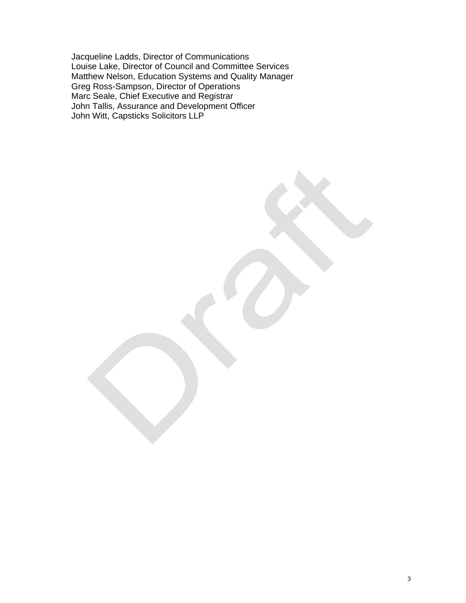Jacqueline Ladds, Director of Communications Louise Lake, Director of Council and Committee Services Matthew Nelson, Education Systems and Quality Manager Greg Ross-Sampson, Director of Operations Marc Seale, Chief Executive and Registrar John Tallis, Assurance and Development Officer John Witt, Capsticks Solicitors LLP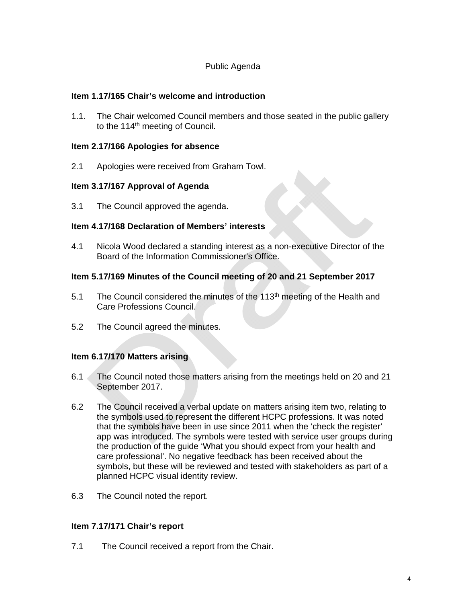## Public Agenda

## **Item 1.17/165 Chair's welcome and introduction**

1.1. The Chair welcomed Council members and those seated in the public gallery to the 114<sup>th</sup> meeting of Council.

## **Item 2.17/166 Apologies for absence**

2.1 Apologies were received from Graham Towl.

## **Item 3.17/167 Approval of Agenda**

3.1 The Council approved the agenda.

## **Item 4.17/168 Declaration of Members' interests**

4.1 Nicola Wood declared a standing interest as a non-executive Director of the Board of the Information Commissioner's Office.

## **Item 5.17/169 Minutes of the Council meeting of 20 and 21 September 2017**

- 5.1 The Council considered the minutes of the 113<sup>th</sup> meeting of the Health and Care Professions Council.
- 5.2 The Council agreed the minutes.

## **Item 6.17/170 Matters arising**

- 6.1 The Council noted those matters arising from the meetings held on 20 and 21 September 2017.
- 6.2 The Council received a verbal update on matters arising item two, relating to the symbols used to represent the different HCPC professions. It was noted that the symbols have been in use since 2011 when the 'check the register' app was introduced. The symbols were tested with service user groups during the production of the guide 'What you should expect from your health and care professional'. No negative feedback has been received about the symbols, but these will be reviewed and tested with stakeholders as part of a planned HCPC visual identity review.
- 6.3 The Council noted the report.

#### **Item 7.17/171 Chair's report**

7.1 The Council received a report from the Chair.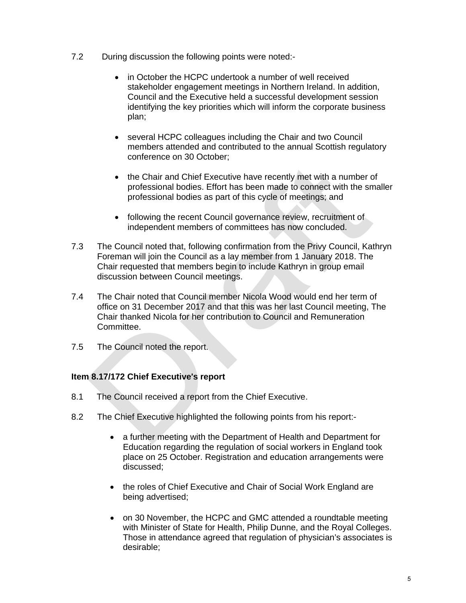- 7.2 During discussion the following points were noted:-
	- in October the HCPC undertook a number of well received stakeholder engagement meetings in Northern Ireland. In addition, Council and the Executive held a successful development session identifying the key priorities which will inform the corporate business plan;
	- several HCPC colleagues including the Chair and two Council members attended and contributed to the annual Scottish regulatory conference on 30 October;
	- the Chair and Chief Executive have recently met with a number of professional bodies. Effort has been made to connect with the smaller professional bodies as part of this cycle of meetings; and
	- following the recent Council governance review, recruitment of independent members of committees has now concluded.
- 7.3 The Council noted that, following confirmation from the Privy Council, Kathryn Foreman will join the Council as a lay member from 1 January 2018. The Chair requested that members begin to include Kathryn in group email discussion between Council meetings.
- 7.4 The Chair noted that Council member Nicola Wood would end her term of office on 31 December 2017 and that this was her last Council meeting, The Chair thanked Nicola for her contribution to Council and Remuneration Committee.
- 7.5 The Council noted the report.

## **Item 8.17/172 Chief Executive**'**s report**

- 8.1 The Council received a report from the Chief Executive.
- 8.2 The Chief Executive highlighted the following points from his report:
	- a further meeting with the Department of Health and Department for Education regarding the regulation of social workers in England took place on 25 October. Registration and education arrangements were discussed;
	- the roles of Chief Executive and Chair of Social Work England are being advertised;
	- on 30 November, the HCPC and GMC attended a roundtable meeting with Minister of State for Health, Philip Dunne, and the Royal Colleges. Those in attendance agreed that regulation of physician's associates is desirable;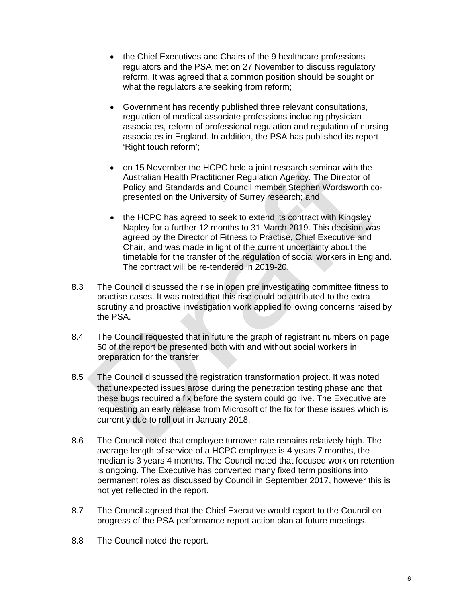- the Chief Executives and Chairs of the 9 healthcare professions regulators and the PSA met on 27 November to discuss regulatory reform. It was agreed that a common position should be sought on what the regulators are seeking from reform;
- Government has recently published three relevant consultations, regulation of medical associate professions including physician associates, reform of professional regulation and regulation of nursing associates in England. In addition, the PSA has published its report 'Right touch reform';
- on 15 November the HCPC held a joint research seminar with the Australian Health Practitioner Regulation Agency. The Director of Policy and Standards and Council member Stephen Wordsworth copresented on the University of Surrey research; and
- the HCPC has agreed to seek to extend its contract with Kingsley Napley for a further 12 months to 31 March 2019. This decision was agreed by the Director of Fitness to Practise, Chief Executive and Chair, and was made in light of the current uncertainty about the timetable for the transfer of the regulation of social workers in England. The contract will be re-tendered in 2019-20.
- 8.3 The Council discussed the rise in open pre investigating committee fitness to practise cases. It was noted that this rise could be attributed to the extra scrutiny and proactive investigation work applied following concerns raised by the PSA.
- 8.4 The Council requested that in future the graph of registrant numbers on page 50 of the report be presented both with and without social workers in preparation for the transfer.
- 8.5 The Council discussed the registration transformation project. It was noted that unexpected issues arose during the penetration testing phase and that these bugs required a fix before the system could go live. The Executive are requesting an early release from Microsoft of the fix for these issues which is currently due to roll out in January 2018.
- 8.6 The Council noted that employee turnover rate remains relatively high. The average length of service of a HCPC employee is 4 years 7 months, the median is 3 years 4 months. The Council noted that focused work on retention is ongoing. The Executive has converted many fixed term positions into permanent roles as discussed by Council in September 2017, however this is not yet reflected in the report.
- 8.7 The Council agreed that the Chief Executive would report to the Council on progress of the PSA performance report action plan at future meetings.
- 8.8 The Council noted the report.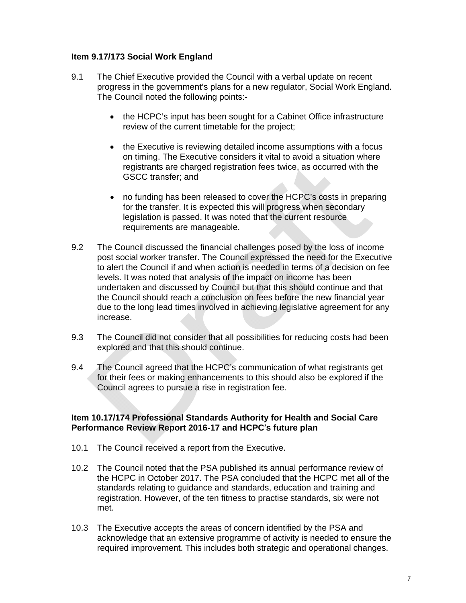## **Item 9.17/173 Social Work England**

- 9.1 The Chief Executive provided the Council with a verbal update on recent progress in the government's plans for a new regulator, Social Work England. The Council noted the following points:-
	- the HCPC's input has been sought for a Cabinet Office infrastructure review of the current timetable for the project;
	- the Executive is reviewing detailed income assumptions with a focus on timing. The Executive considers it vital to avoid a situation where registrants are charged registration fees twice, as occurred with the GSCC transfer; and
	- no funding has been released to cover the HCPC's costs in preparing for the transfer. It is expected this will progress when secondary legislation is passed. It was noted that the current resource requirements are manageable.
- 9.2 The Council discussed the financial challenges posed by the loss of income post social worker transfer. The Council expressed the need for the Executive to alert the Council if and when action is needed in terms of a decision on fee levels. It was noted that analysis of the impact on income has been undertaken and discussed by Council but that this should continue and that the Council should reach a conclusion on fees before the new financial year due to the long lead times involved in achieving legislative agreement for any increase.
- 9.3 The Council did not consider that all possibilities for reducing costs had been explored and that this should continue.
- 9.4 The Council agreed that the HCPC's communication of what registrants get for their fees or making enhancements to this should also be explored if the Council agrees to pursue a rise in registration fee.

#### **Item 10.17/174 Professional Standards Authority for Health and Social Care Performance Review Report 2016-17 and HCPC**'**s future plan**

- 10.1 The Council received a report from the Executive.
- 10.2 The Council noted that the PSA published its annual performance review of the HCPC in October 2017. The PSA concluded that the HCPC met all of the standards relating to guidance and standards, education and training and registration. However, of the ten fitness to practise standards, six were not met.
- 10.3 The Executive accepts the areas of concern identified by the PSA and acknowledge that an extensive programme of activity is needed to ensure the required improvement. This includes both strategic and operational changes.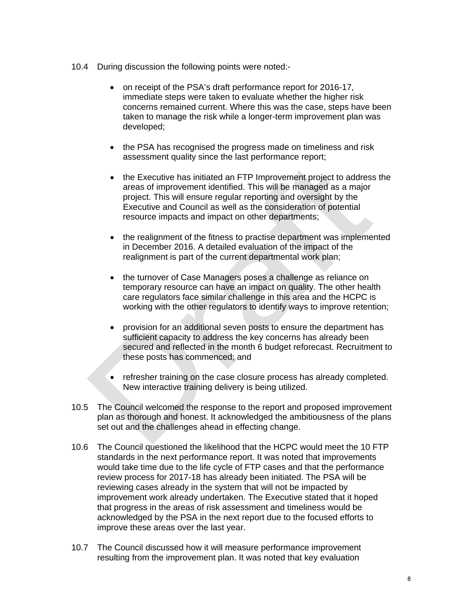- 10.4 During discussion the following points were noted:-
	- on receipt of the PSA's draft performance report for 2016-17, immediate steps were taken to evaluate whether the higher risk concerns remained current. Where this was the case, steps have been taken to manage the risk while a longer-term improvement plan was developed;
	- the PSA has recognised the progress made on timeliness and risk assessment quality since the last performance report;
	- the Executive has initiated an FTP Improvement project to address the areas of improvement identified. This will be managed as a major project. This will ensure regular reporting and oversight by the Executive and Council as well as the consideration of potential resource impacts and impact on other departments;
	- the realignment of the fitness to practise department was implemented in December 2016. A detailed evaluation of the impact of the realignment is part of the current departmental work plan;
	- the turnover of Case Managers poses a challenge as reliance on temporary resource can have an impact on quality. The other health care regulators face similar challenge in this area and the HCPC is working with the other regulators to identify ways to improve retention;
	- provision for an additional seven posts to ensure the department has sufficient capacity to address the key concerns has already been secured and reflected in the month 6 budget reforecast. Recruitment to these posts has commenced; and
	- refresher training on the case closure process has already completed. New interactive training delivery is being utilized.
- 10.5 The Council welcomed the response to the report and proposed improvement plan as thorough and honest. It acknowledged the ambitiousness of the plans set out and the challenges ahead in effecting change.
- 10.6 The Council questioned the likelihood that the HCPC would meet the 10 FTP standards in the next performance report. It was noted that improvements would take time due to the life cycle of FTP cases and that the performance review process for 2017-18 has already been initiated. The PSA will be reviewing cases already in the system that will not be impacted by improvement work already undertaken. The Executive stated that it hoped that progress in the areas of risk assessment and timeliness would be acknowledged by the PSA in the next report due to the focused efforts to improve these areas over the last year.
- 10.7 The Council discussed how it will measure performance improvement resulting from the improvement plan. It was noted that key evaluation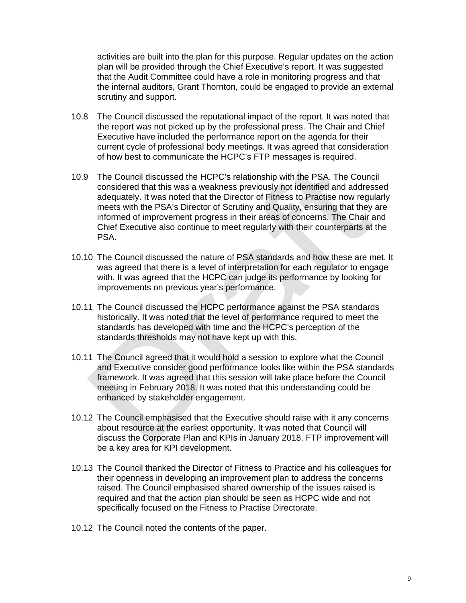activities are built into the plan for this purpose. Regular updates on the action plan will be provided through the Chief Executive's report. It was suggested that the Audit Committee could have a role in monitoring progress and that the internal auditors, Grant Thornton, could be engaged to provide an external scrutiny and support.

- 10.8 The Council discussed the reputational impact of the report. It was noted that the report was not picked up by the professional press. The Chair and Chief Executive have included the performance report on the agenda for their current cycle of professional body meetings. It was agreed that consideration of how best to communicate the HCPC's FTP messages is required.
- 10.9 The Council discussed the HCPC's relationship with the PSA. The Council considered that this was a weakness previously not identified and addressed adequately. It was noted that the Director of Fitness to Practise now regularly meets with the PSA's Director of Scrutiny and Quality, ensuring that they are informed of improvement progress in their areas of concerns. The Chair and Chief Executive also continue to meet regularly with their counterparts at the PSA.
- 10.10 The Council discussed the nature of PSA standards and how these are met. It was agreed that there is a level of interpretation for each regulator to engage with. It was agreed that the HCPC can judge its performance by looking for improvements on previous year's performance.
- 10.11 The Council discussed the HCPC performance against the PSA standards historically. It was noted that the level of performance required to meet the standards has developed with time and the HCPC's perception of the standards thresholds may not have kept up with this.
- 10.11 The Council agreed that it would hold a session to explore what the Council and Executive consider good performance looks like within the PSA standards framework. It was agreed that this session will take place before the Council meeting in February 2018. It was noted that this understanding could be enhanced by stakeholder engagement.
- 10.12 The Council emphasised that the Executive should raise with it any concerns about resource at the earliest opportunity. It was noted that Council will discuss the Corporate Plan and KPIs in January 2018. FTP improvement will be a key area for KPI development.
- 10.13 The Council thanked the Director of Fitness to Practice and his colleagues for their openness in developing an improvement plan to address the concerns raised. The Council emphasised shared ownership of the issues raised is required and that the action plan should be seen as HCPC wide and not specifically focused on the Fitness to Practise Directorate.
- 10.12 The Council noted the contents of the paper.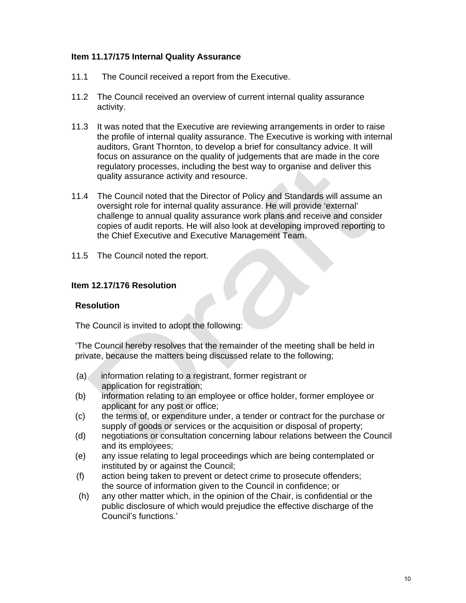## **Item 11.17/175 Internal Quality Assurance**

- 11.1 The Council received a report from the Executive.
- 11.2 The Council received an overview of current internal quality assurance activity.
- 11.3 It was noted that the Executive are reviewing arrangements in order to raise the profile of internal quality assurance. The Executive is working with internal auditors, Grant Thornton, to develop a brief for consultancy advice. It will focus on assurance on the quality of judgements that are made in the core regulatory processes, including the best way to organise and deliver this quality assurance activity and resource.
- 11.4 The Council noted that the Director of Policy and Standards will assume an oversight role for internal quality assurance. He will provide 'external' challenge to annual quality assurance work plans and receive and consider copies of audit reports. He will also look at developing improved reporting to the Chief Executive and Executive Management Team.
- 11.5 The Council noted the report.

#### **Item 12.17/176 Resolution**

#### **Resolution**

The Council is invited to adopt the following:

'The Council hereby resolves that the remainder of the meeting shall be held in private, because the matters being discussed relate to the following;

- (a) information relating to a registrant, former registrant or application for registration;
- (b) information relating to an employee or office holder, former employee or applicant for any post or office;
- (c) the terms of, or expenditure under, a tender or contract for the purchase or supply of goods or services or the acquisition or disposal of property;
- (d) negotiations or consultation concerning labour relations between the Council and its employees;
- (e) any issue relating to legal proceedings which are being contemplated or instituted by or against the Council;
- (f) action being taken to prevent or detect crime to prosecute offenders; the source of information given to the Council in confidence; or
- (h) any other matter which, in the opinion of the Chair, is confidential or the public disclosure of which would prejudice the effective discharge of the Council's functions.'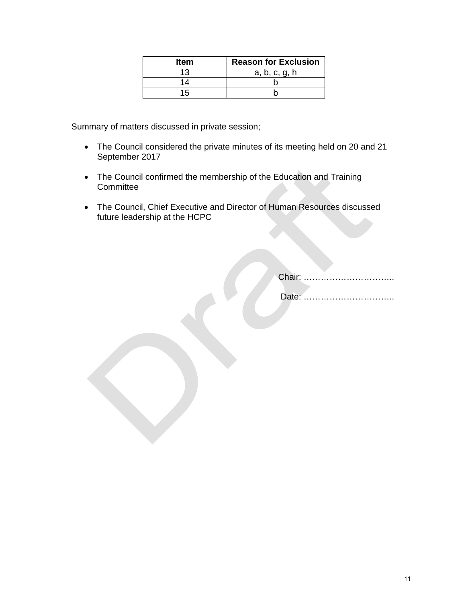| <b>Item</b> | <b>Reason for Exclusion</b> |
|-------------|-----------------------------|
| 13          | a, b, c, g, h               |
| 14          |                             |
| 15          |                             |

Summary of matters discussed in private session;

- The Council considered the private minutes of its meeting held on 20 and 21 September 2017
- The Council confirmed the membership of the Education and Training **Committee**
- The Council, Chief Executive and Director of Human Resources discussed future leadership at the HCPC

Chair: …………………………..

Date: …………………………..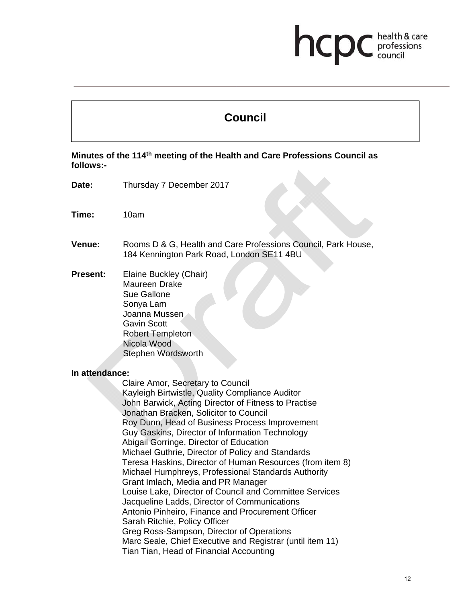## health & care hcp professions

# **Council**

## **Minutes of the 114th meeting of the Health and Care Professions Council as follows:-**

- **Date:** Thursday 7 December 2017
- **Time:** 10am
- **Venue:** Rooms D & G, Health and Care Professions Council, Park House, 184 Kennington Park Road, London SE11 4BU
- **Present:** Elaine Buckley (Chair) Maureen Drake Sue Gallone Sonya Lam Joanna Mussen Gavin Scott Robert Templeton Nicola Wood Stephen Wordsworth

#### **In attendance:**

Claire Amor, Secretary to Council Kayleigh Birtwistle, Quality Compliance Auditor John Barwick, Acting Director of Fitness to Practise Jonathan Bracken, Solicitor to Council Roy Dunn, Head of Business Process Improvement Guy Gaskins, Director of Information Technology Abigail Gorringe, Director of Education Michael Guthrie, Director of Policy and Standards Teresa Haskins, Director of Human Resources (from item 8) Michael Humphreys, Professional Standards Authority Grant Imlach, Media and PR Manager Louise Lake, Director of Council and Committee Services Jacqueline Ladds, Director of Communications Antonio Pinheiro, Finance and Procurement Officer Sarah Ritchie, Policy Officer Greg Ross-Sampson, Director of Operations Marc Seale, Chief Executive and Registrar (until item 11) Tian Tian, Head of Financial Accounting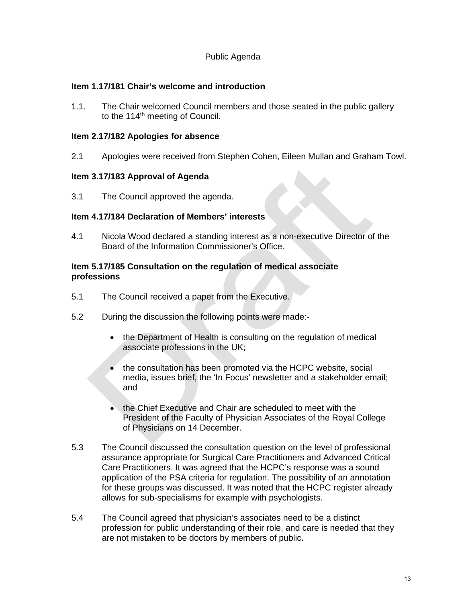## Public Agenda

## **Item 1.17/181 Chair's welcome and introduction**

1.1. The Chair welcomed Council members and those seated in the public gallery to the 114<sup>th</sup> meeting of Council.

## **Item 2.17/182 Apologies for absence**

2.1 Apologies were received from Stephen Cohen, Eileen Mullan and Graham Towl.

#### **Item 3.17/183 Approval of Agenda**

3.1 The Council approved the agenda.

## **Item 4.17/184 Declaration of Members' interests**

4.1 Nicola Wood declared a standing interest as a non-executive Director of the Board of the Information Commissioner's Office.

#### **Item 5.17/185 Consultation on the regulation of medical associate professions**

- 5.1 The Council received a paper from the Executive.
- 5.2 During the discussion the following points were made:
	- the Department of Health is consulting on the regulation of medical associate professions in the UK;
	- the consultation has been promoted via the HCPC website, social media, issues brief, the 'In Focus' newsletter and a stakeholder email; and
	- the Chief Executive and Chair are scheduled to meet with the President of the Faculty of Physician Associates of the Royal College of Physicians on 14 December.
- 5.3 The Council discussed the consultation question on the level of professional assurance appropriate for Surgical Care Practitioners and Advanced Critical Care Practitioners. It was agreed that the HCPC's response was a sound application of the PSA criteria for regulation. The possibility of an annotation for these groups was discussed. It was noted that the HCPC register already allows for sub-specialisms for example with psychologists.
- 5.4 The Council agreed that physician's associates need to be a distinct profession for public understanding of their role, and care is needed that they are not mistaken to be doctors by members of public.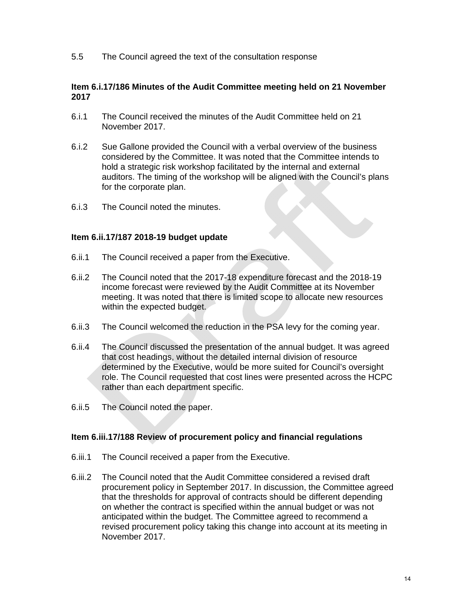5.5 The Council agreed the text of the consultation response

#### **Item 6.i.17/186 Minutes of the Audit Committee meeting held on 21 November 2017**

- 6.i.1 The Council received the minutes of the Audit Committee held on 21 November 2017.
- 6.i.2 Sue Gallone provided the Council with a verbal overview of the business considered by the Committee. It was noted that the Committee intends to hold a strategic risk workshop facilitated by the internal and external auditors. The timing of the workshop will be aligned with the Council's plans for the corporate plan.
- 6.i.3 The Council noted the minutes.

#### **Item 6.ii.17/187 2018-19 budget update**

- 6.ii.1 The Council received a paper from the Executive.
- 6.ii.2 The Council noted that the 2017-18 expenditure forecast and the 2018-19 income forecast were reviewed by the Audit Committee at its November meeting. It was noted that there is limited scope to allocate new resources within the expected budget.
- 6.ii.3 The Council welcomed the reduction in the PSA levy for the coming year.
- 6.ii.4 The Council discussed the presentation of the annual budget. It was agreed that cost headings, without the detailed internal division of resource determined by the Executive, would be more suited for Council's oversight role. The Council requested that cost lines were presented across the HCPC rather than each department specific.
- 6.ii.5 The Council noted the paper.

#### **Item 6.iii.17/188 Review of procurement policy and financial regulations**

- 6.iii.1 The Council received a paper from the Executive.
- 6.iii.2 The Council noted that the Audit Committee considered a revised draft procurement policy in September 2017. In discussion, the Committee agreed that the thresholds for approval of contracts should be different depending on whether the contract is specified within the annual budget or was not anticipated within the budget. The Committee agreed to recommend a revised procurement policy taking this change into account at its meeting in November 2017.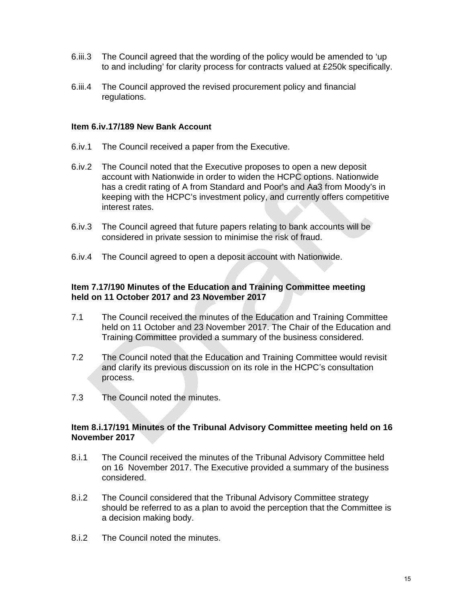- 6.iii.3 The Council agreed that the wording of the policy would be amended to 'up to and including' for clarity process for contracts valued at £250k specifically.
- 6.iii.4 The Council approved the revised procurement policy and financial regulations.

#### **Item 6.iv.17/189 New Bank Account**

- 6.iv.1 The Council received a paper from the Executive.
- 6.iv.2 The Council noted that the Executive proposes to open a new deposit account with Nationwide in order to widen the HCPC options. Nationwide has a credit rating of A from Standard and Poor's and Aa3 from Moody's in keeping with the HCPC's investment policy, and currently offers competitive interest rates.
- 6.iv.3 The Council agreed that future papers relating to bank accounts will be considered in private session to minimise the risk of fraud.
- 6.iv.4 The Council agreed to open a deposit account with Nationwide.

## **Item 7.17/190 Minutes of the Education and Training Committee meeting held on 11 October 2017 and 23 November 2017**

- 7.1 The Council received the minutes of the Education and Training Committee held on 11 October and 23 November 2017. The Chair of the Education and Training Committee provided a summary of the business considered.
- 7.2 The Council noted that the Education and Training Committee would revisit and clarify its previous discussion on its role in the HCPC's consultation process.
- 7.3 The Council noted the minutes.

#### **Item 8.i.17/191 Minutes of the Tribunal Advisory Committee meeting held on 16 November 2017**

- 8.i.1 The Council received the minutes of the Tribunal Advisory Committee held on 16 November 2017. The Executive provided a summary of the business considered.
- 8.i.2 The Council considered that the Tribunal Advisory Committee strategy should be referred to as a plan to avoid the perception that the Committee is a decision making body.
- 8.i.2 The Council noted the minutes.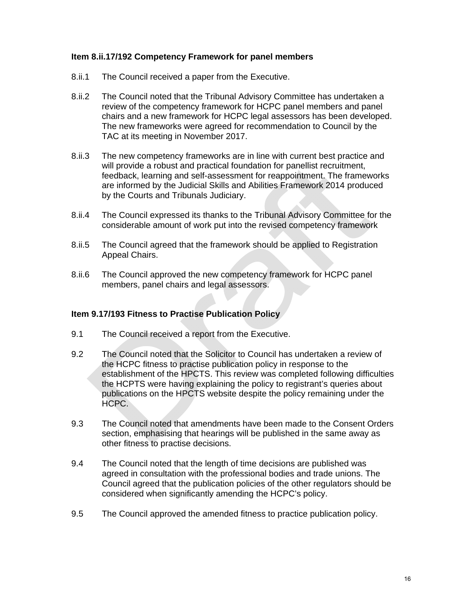## **Item 8.ii.17/192 Competency Framework for panel members**

- 8.ii.1 The Council received a paper from the Executive.
- 8.ii.2 The Council noted that the Tribunal Advisory Committee has undertaken a review of the competency framework for HCPC panel members and panel chairs and a new framework for HCPC legal assessors has been developed. The new frameworks were agreed for recommendation to Council by the TAC at its meeting in November 2017.
- 8.ii.3 The new competency frameworks are in line with current best practice and will provide a robust and practical foundation for panellist recruitment, feedback, learning and self-assessment for reappointment. The frameworks are informed by the Judicial Skills and Abilities Framework 2014 produced by the Courts and Tribunals Judiciary.
- 8.ii.4 The Council expressed its thanks to the Tribunal Advisory Committee for the considerable amount of work put into the revised competency framework
- 8.ii.5 The Council agreed that the framework should be applied to Registration Appeal Chairs.
- 8.ii.6 The Council approved the new competency framework for HCPC panel members, panel chairs and legal assessors.

#### **Item 9.17/193 Fitness to Practise Publication Policy**

- 9.1 The Council received a report from the Executive.
- 9.2 The Council noted that the Solicitor to Council has undertaken a review of the HCPC fitness to practise publication policy in response to the establishment of the HPCTS. This review was completed following difficulties the HCPTS were having explaining the policy to registrant's queries about publications on the HPCTS website despite the policy remaining under the HCPC.
- 9.3 The Council noted that amendments have been made to the Consent Orders section, emphasising that hearings will be published in the same away as other fitness to practise decisions.
- 9.4 The Council noted that the length of time decisions are published was agreed in consultation with the professional bodies and trade unions. The Council agreed that the publication policies of the other regulators should be considered when significantly amending the HCPC's policy.
- 9.5 The Council approved the amended fitness to practice publication policy.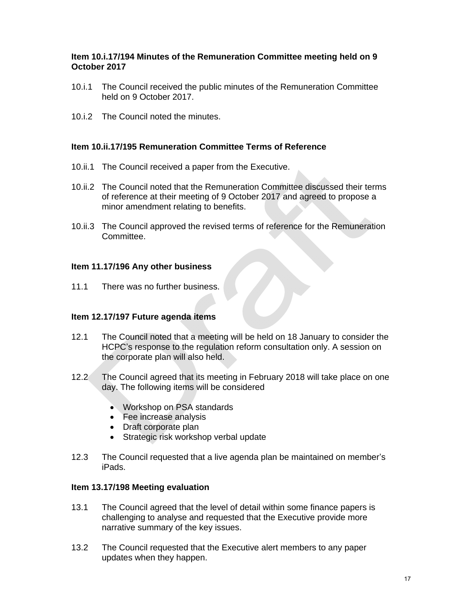## **Item 10.i.17/194 Minutes of the Remuneration Committee meeting held on 9 October 2017**

- 10.i.1 The Council received the public minutes of the Remuneration Committee held on 9 October 2017.
- 10.i.2 The Council noted the minutes.

## **Item 10.ii.17/195 Remuneration Committee Terms of Reference**

- 10.ii.1 The Council received a paper from the Executive.
- 10.ii.2 The Council noted that the Remuneration Committee discussed their terms of reference at their meeting of 9 October 2017 and agreed to propose a minor amendment relating to benefits.
- 10.ii.3 The Council approved the revised terms of reference for the Remuneration Committee.

#### **Item 11.17/196 Any other business**

11.1 There was no further business.

#### **Item 12.17/197 Future agenda items**

- 12.1 The Council noted that a meeting will be held on 18 January to consider the HCPC's response to the regulation reform consultation only. A session on the corporate plan will also held.
- 12.2 The Council agreed that its meeting in February 2018 will take place on one day. The following items will be considered
	- Workshop on PSA standards
	- Fee increase analysis
	- Draft corporate plan
	- Strategic risk workshop verbal update
- 12.3 The Council requested that a live agenda plan be maintained on member's iPads.

#### **Item 13.17/198 Meeting evaluation**

- 13.1 The Council agreed that the level of detail within some finance papers is challenging to analyse and requested that the Executive provide more narrative summary of the key issues.
- 13.2 The Council requested that the Executive alert members to any paper updates when they happen.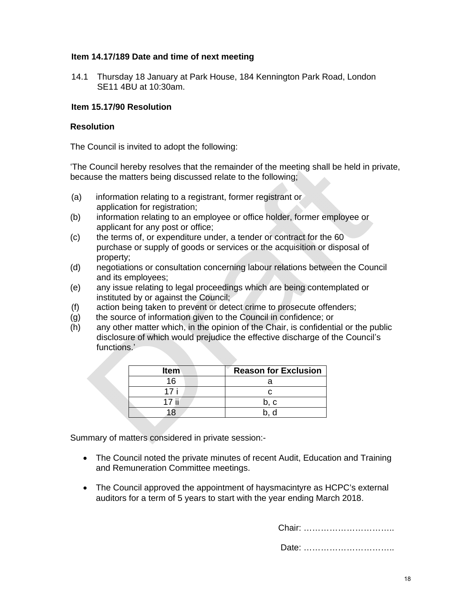## **Item 14.17/189 Date and time of next meeting**

14.1 Thursday 18 January at Park House, 184 Kennington Park Road, London SE11 4BU at 10:30am.

## **Item 15.17/90 Resolution**

#### **Resolution**

The Council is invited to adopt the following:

'The Council hereby resolves that the remainder of the meeting shall be held in private, because the matters being discussed relate to the following;

- (a) information relating to a registrant, former registrant or application for registration:
- (b) information relating to an employee or office holder, former employee or applicant for any post or office;
- (c) the terms of, or expenditure under, a tender or contract for the 60 purchase or supply of goods or services or the acquisition or disposal of property;
- (d) negotiations or consultation concerning labour relations between the Council and its employees;
- (e) any issue relating to legal proceedings which are being contemplated or instituted by or against the Council;
- (f) action being taken to prevent or detect crime to prosecute offenders;
- (g) the source of information given to the Council in confidence; or
- (h) any other matter which, in the opinion of the Chair, is confidential or the public disclosure of which would prejudice the effective discharge of the Council's functions.'

| <b>Item</b> | <b>Reason for Exclusion</b> |
|-------------|-----------------------------|
| 16          |                             |
| 17 i        |                             |
| 17 ii       | . റ                         |
|             |                             |

Summary of matters considered in private session:-

- The Council noted the private minutes of recent Audit, Education and Training and Remuneration Committee meetings.
- The Council approved the appointment of haysmacintyre as HCPC's external auditors for a term of 5 years to start with the year ending March 2018.

Chair: …………………………..

Date: …………………………..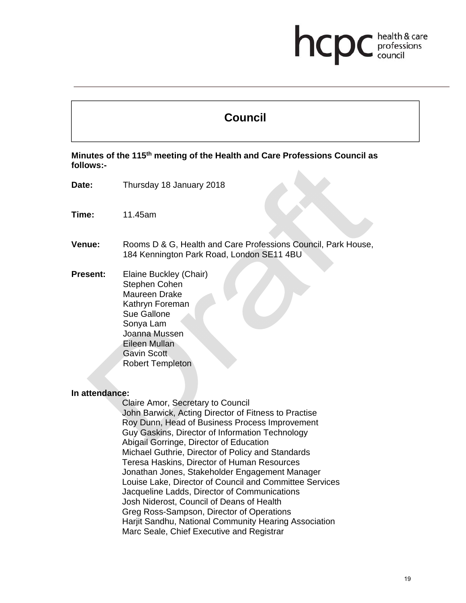## health & care hcp professions<br>council

# **Council**

**Minutes of the 115th meeting of the Health and Care Professions Council as follows:-** 

- **Date:** Thursday 18 January 2018
- **Time:** 11.45am
- **Venue:** Rooms D & G, Health and Care Professions Council, Park House, 184 Kennington Park Road, London SE11 4BU
- **Present:** Elaine Buckley (Chair) Stephen Cohen Maureen Drake Kathryn Foreman Sue Gallone Sonya Lam Joanna Mussen Eileen Mullan Gavin Scott Robert Templeton

#### **In attendance:**

Claire Amor, Secretary to Council John Barwick, Acting Director of Fitness to Practise Roy Dunn, Head of Business Process Improvement Guy Gaskins, Director of Information Technology Abigail Gorringe, Director of Education Michael Guthrie, Director of Policy and Standards Teresa Haskins, Director of Human Resources Jonathan Jones, Stakeholder Engagement Manager Louise Lake, Director of Council and Committee Services Jacqueline Ladds, Director of Communications Josh Niderost, Council of Deans of Health Greg Ross-Sampson, Director of Operations Harjit Sandhu, National Community Hearing Association Marc Seale, Chief Executive and Registrar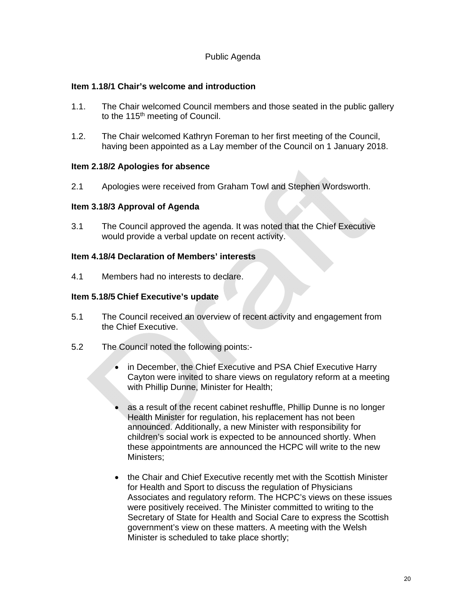## Public Agenda

## **Item 1.18/1 Chair's welcome and introduction**

- 1.1. The Chair welcomed Council members and those seated in the public gallery to the 115<sup>th</sup> meeting of Council.
- 1.2. The Chair welcomed Kathryn Foreman to her first meeting of the Council, having been appointed as a Lay member of the Council on 1 January 2018.

#### **Item 2.18/2 Apologies for absence**

2.1 Apologies were received from Graham Towl and Stephen Wordsworth.

## **Item 3.18/3 Approval of Agenda**

3.1 The Council approved the agenda. It was noted that the Chief Executive would provide a verbal update on recent activity.

## **Item 4.18/4 Declaration of Members' interests**

4.1 Members had no interests to declare.

## **Item 5.18/5 Chief Executive's update**

- 5.1 The Council received an overview of recent activity and engagement from the Chief Executive.
- 5.2 The Council noted the following points:-
	- in December, the Chief Executive and PSA Chief Executive Harry Cayton were invited to share views on regulatory reform at a meeting with Phillip Dunne, Minister for Health;
	- as a result of the recent cabinet reshuffle, Phillip Dunne is no longer Health Minister for regulation, his replacement has not been announced. Additionally, a new Minister with responsibility for children's social work is expected to be announced shortly. When these appointments are announced the HCPC will write to the new Ministers;
	- the Chair and Chief Executive recently met with the Scottish Minister for Health and Sport to discuss the regulation of Physicians Associates and regulatory reform. The HCPC's views on these issues were positively received. The Minister committed to writing to the Secretary of State for Health and Social Care to express the Scottish government's view on these matters. A meeting with the Welsh Minister is scheduled to take place shortly;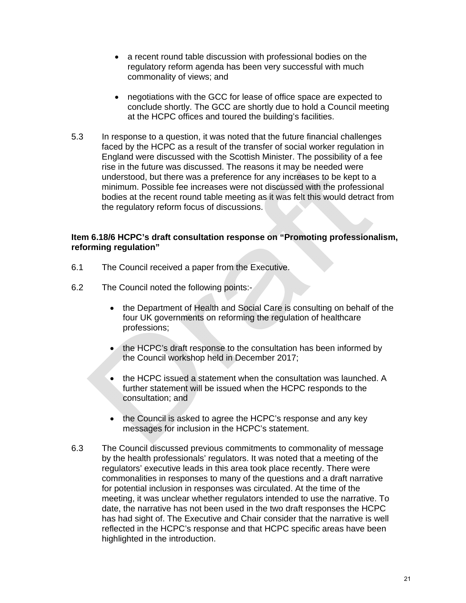- a recent round table discussion with professional bodies on the regulatory reform agenda has been very successful with much commonality of views; and
- negotiations with the GCC for lease of office space are expected to conclude shortly. The GCC are shortly due to hold a Council meeting at the HCPC offices and toured the building's facilities.
- 5.3 In response to a question, it was noted that the future financial challenges faced by the HCPC as a result of the transfer of social worker regulation in England were discussed with the Scottish Minister. The possibility of a fee rise in the future was discussed. The reasons it may be needed were understood, but there was a preference for any increases to be kept to a minimum. Possible fee increases were not discussed with the professional bodies at the recent round table meeting as it was felt this would detract from the regulatory reform focus of discussions.

## **Item 6.18/6 HCPC's draft consultation response on "Promoting professionalism, reforming regulation"**

- 6.1 The Council received a paper from the Executive.
- 6.2 The Council noted the following points:-
	- the Department of Health and Social Care is consulting on behalf of the four UK governments on reforming the regulation of healthcare professions;
	- the HCPC's draft response to the consultation has been informed by the Council workshop held in December 2017;
	- the HCPC issued a statement when the consultation was launched. A further statement will be issued when the HCPC responds to the consultation; and
	- the Council is asked to agree the HCPC's response and any key messages for inclusion in the HCPC's statement.
- 6.3 The Council discussed previous commitments to commonality of message by the health professionals' regulators. It was noted that a meeting of the regulators' executive leads in this area took place recently. There were commonalities in responses to many of the questions and a draft narrative for potential inclusion in responses was circulated. At the time of the meeting, it was unclear whether regulators intended to use the narrative. To date, the narrative has not been used in the two draft responses the HCPC has had sight of. The Executive and Chair consider that the narrative is well reflected in the HCPC's response and that HCPC specific areas have been highlighted in the introduction.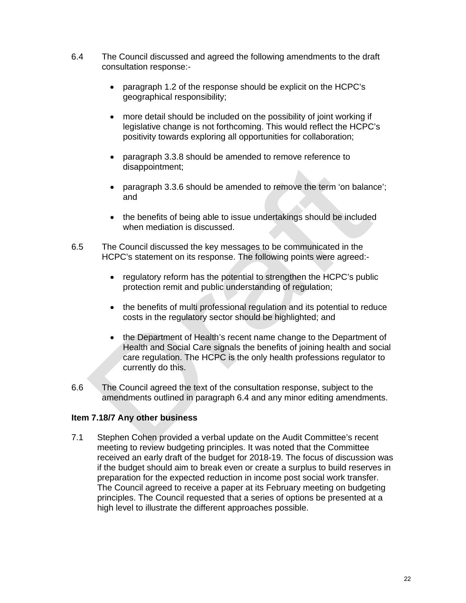- 6.4 The Council discussed and agreed the following amendments to the draft consultation response:-
	- paragraph 1.2 of the response should be explicit on the HCPC's geographical responsibility;
	- more detail should be included on the possibility of joint working if legislative change is not forthcoming. This would reflect the HCPC's positivity towards exploring all opportunities for collaboration;
	- paragraph 3.3.8 should be amended to remove reference to disappointment;
	- paragraph 3.3.6 should be amended to remove the term 'on balance'; and
	- the benefits of being able to issue undertakings should be included when mediation is discussed.
- 6.5 The Council discussed the key messages to be communicated in the HCPC's statement on its response. The following points were agreed:-
	- regulatory reform has the potential to strengthen the HCPC's public protection remit and public understanding of regulation;
	- the benefits of multi professional regulation and its potential to reduce costs in the regulatory sector should be highlighted; and
	- the Department of Health's recent name change to the Department of Health and Social Care signals the benefits of joining health and social care regulation. The HCPC is the only health professions regulator to currently do this.
- 6.6 The Council agreed the text of the consultation response, subject to the amendments outlined in paragraph 6.4 and any minor editing amendments.

## **Item 7.18/7 Any other business**

7.1 Stephen Cohen provided a verbal update on the Audit Committee's recent meeting to review budgeting principles. It was noted that the Committee received an early draft of the budget for 2018-19. The focus of discussion was if the budget should aim to break even or create a surplus to build reserves in preparation for the expected reduction in income post social work transfer. The Council agreed to receive a paper at its February meeting on budgeting principles. The Council requested that a series of options be presented at a high level to illustrate the different approaches possible.